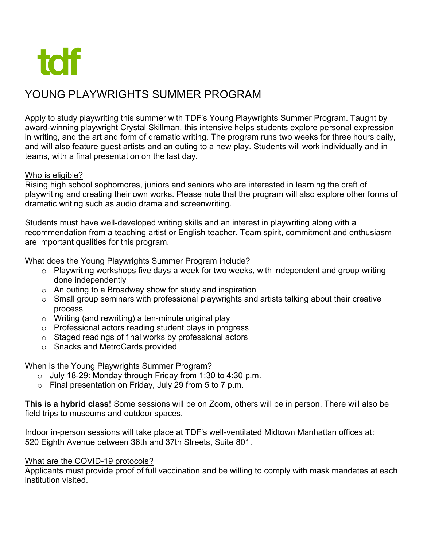

Apply to study playwriting this summer with TDF's Young Playwrights Summer Program. Taught by award-winning playwright Crystal Skillman, this intensive helps students explore personal expression in writing, and the art and form of dramatic writing. The program runs two weeks for three hours daily, and will also feature guest artists and an outing to a new play. Students will work individually and in teams, with a final presentation on the last day.

#### Who is eligible?

Rising high school sophomores, juniors and seniors who are interested in learning the craft of playwriting and creating their own works. Please note that the program will also explore other forms of dramatic writing such as audio drama and screenwriting.

Students must have well-developed writing skills and an interest in playwriting along with a recommendation from a teaching artist or English teacher. Team spirit, commitment and enthusiasm are important qualities for this program.

What does the Young Playwrights Summer Program include?

- $\circ$  Playwriting workshops five days a week for two weeks, with independent and group writing done independently
- o An outing to a Broadway show for study and inspiration
- $\circ$  Small group seminars with professional playwrights and artists talking about their creative process
- $\circ$  Writing (and rewriting) a ten-minute original play
- o Professional actors reading student plays in progress
- o Staged readings of final works by professional actors
- o Snacks and MetroCards provided

When is the Young Playwrights Summer Program?

- o July 18-29: Monday through Friday from 1:30 to 4:30 p.m.
- $\circ$  Final presentation on Friday, July 29 from 5 to 7 p.m.

**This is a hybrid class!** Some sessions will be on Zoom, others will be in person. There will also be field trips to museums and outdoor spaces.

Indoor in-person sessions will take place at TDF's well-ventilated Midtown Manhattan offices at: 520 Eighth Avenue between 36th and 37th Streets, Suite 801.

#### What are the COVID-19 protocols?

Applicants must provide proof of full vaccination and be willing to comply with mask mandates at each institution visited.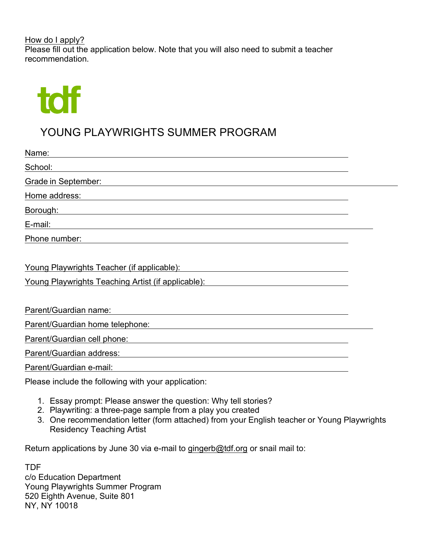How do I apply? Please fill out the application below. Note that you will also need to submit a teacher recommendation.



# YOUNG PLAYWRIGHTS SUMMER PROGRAM

| Name:                                                                          |  |  |  |  |  |
|--------------------------------------------------------------------------------|--|--|--|--|--|
| School:                                                                        |  |  |  |  |  |
| Grade in September:                                                            |  |  |  |  |  |
| Home address:                                                                  |  |  |  |  |  |
| Borough:                                                                       |  |  |  |  |  |
| E-mail:<br><u> 1980 - Johann Barbara, martxa alemaniar amerikan basar da a</u> |  |  |  |  |  |
| Phone number:                                                                  |  |  |  |  |  |
|                                                                                |  |  |  |  |  |
| Young Playwrights Teacher (if applicable):                                     |  |  |  |  |  |
| Young Playwrights Teaching Artist (if applicable):                             |  |  |  |  |  |
|                                                                                |  |  |  |  |  |
| Parent/Guardian name:                                                          |  |  |  |  |  |
| Parent/Guardian home telephone:                                                |  |  |  |  |  |
| Parent/Guardian cell phone:                                                    |  |  |  |  |  |
| Parent/Guardian address:                                                       |  |  |  |  |  |
| Parent/Guardian e-mail:                                                        |  |  |  |  |  |

Please include the following with your application:

- 1. Essay prompt: Please answer the question: Why tell stories?
- 2. Playwriting: a three-page sample from a play you created
- 3. One recommendation letter (form attached) from your English teacher or Young Playwrights Residency Teaching Artist

Return applications by June 30 via e-mail to gingerb@tdf.org or snail mail to:

TDF c/o Education Department Young Playwrights Summer Program 520 Eighth Avenue, Suite 801 NY, NY 10018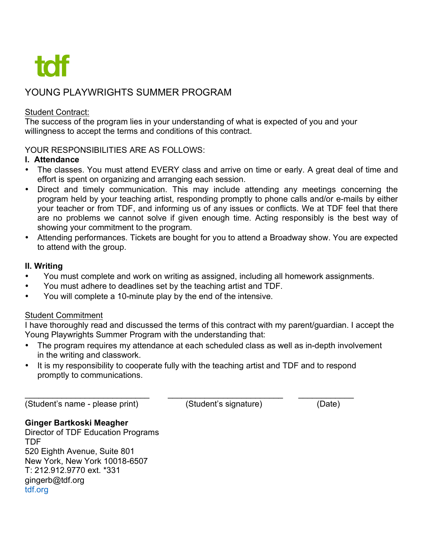#### Student Contract:

The success of the program lies in your understanding of what is expected of you and your willingness to accept the terms and conditions of this contract.

YOUR RESPONSIBILITIES ARE AS FOLLOWS:

#### **I. Attendance**

- The classes. You must attend EVERY class and arrive on time or early. A great deal of time and effort is spent on organizing and arranging each session.
- Direct and timely communication. This may include attending any meetings concerning the program held by your teaching artist, responding promptly to phone calls and/or e-mails by either your teacher or from TDF, and informing us of any issues or conflicts. We at TDF feel that there are no problems we cannot solve if given enough time. Acting responsibly is the best way of showing your commitment to the program.
- Attending performances. Tickets are bought for you to attend a Broadway show. You are expected to attend with the group.

#### **II. Writing**

- You must complete and work on writing as assigned, including all homework assignments.
- You must adhere to deadlines set by the teaching artist and TDF.
- You will complete a 10-minute play by the end of the intensive.

#### Student Commitment

I have thoroughly read and discussed the terms of this contract with my parent/guardian. I accept the Young Playwrights Summer Program with the understanding that:

- The program requires my attendance at each scheduled class as well as in-depth involvement in the writing and classwork.
- It is my responsibility to cooperate fully with the teaching artist and TDF and to respond promptly to communications.

\_\_\_\_\_\_\_\_\_\_\_\_\_\_\_\_\_\_\_\_\_\_\_\_\_\_\_ \_\_\_\_\_\_\_\_\_\_\_\_\_\_\_\_\_\_\_\_\_\_\_\_\_ \_\_\_\_\_\_\_\_\_\_\_\_

(Student's name - please print) (Student's signature) (Date)

### **Ginger Bartkoski Meagher**

Director of TDF Education Programs TDF 520 Eighth Avenue, Suite 801 New York, New York 10018-6507 T: 212.912.9770 ext. \*331 gingerb@tdf.org tdf.org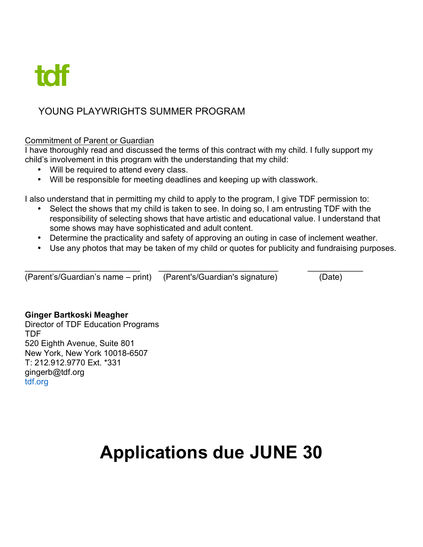

#### Commitment of Parent or Guardian

I have thoroughly read and discussed the terms of this contract with my child. I fully support my child's involvement in this program with the understanding that my child:

- Will be required to attend every class.
- Will be responsible for meeting deadlines and keeping up with classwork.

I also understand that in permitting my child to apply to the program, I give TDF permission to:

\_\_\_\_\_\_\_\_\_\_\_\_\_\_\_\_\_\_\_\_\_\_\_\_\_ \_\_\_\_\_\_\_\_\_\_\_\_\_\_\_\_\_\_\_\_\_\_\_\_\_\_ \_\_\_\_\_\_\_\_\_\_\_\_

- Select the shows that my child is taken to see. In doing so, I am entrusting TDF with the responsibility of selecting shows that have artistic and educational value. I understand that some shows may have sophisticated and adult content.
- Determine the practicality and safety of approving an outing in case of inclement weather.
- Use any photos that may be taken of my child or quotes for publicity and fundraising purposes.

(Parent's/Guardian's name – print) (Parent's/Guardian's signature) (Date)

**Ginger Bartkoski Meagher** Director of TDF Education Programs TDF 520 Eighth Avenue, Suite 801 New York, New York 10018-6507 T: 212.912.9770 Ext. \*331 gingerb@tdf.org tdf.org

# **Applications due JUNE 30**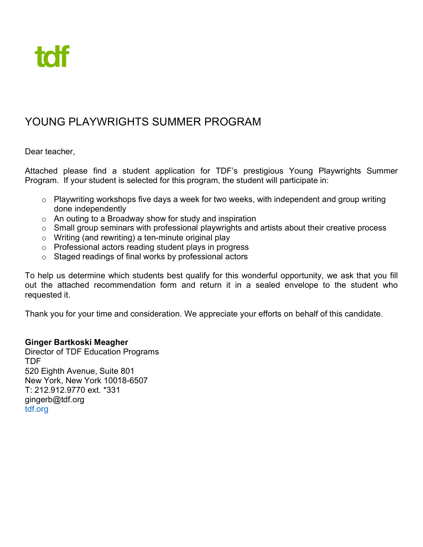

Dear teacher,

Attached please find a student application for TDF's prestigious Young Playwrights Summer Program. If your student is selected for this program, the student will participate in:

- o Playwriting workshops five days a week for two weeks, with independent and group writing done independently
- o An outing to a Broadway show for study and inspiration
- o Small group seminars with professional playwrights and artists about their creative process
- $\circ$  Writing (and rewriting) a ten-minute original play
- o Professional actors reading student plays in progress
- o Staged readings of final works by professional actors

To help us determine which students best qualify for this wonderful opportunity, we ask that you fill out the attached recommendation form and return it in a sealed envelope to the student who requested it.

Thank you for your time and consideration. We appreciate your efforts on behalf of this candidate.

#### **Ginger Bartkoski Meagher**

Director of TDF Education Programs TDF 520 Eighth Avenue, Suite 801 New York, New York 10018-6507 T: 212.912.9770 ext. \*331 gingerb@tdf.org tdf.org